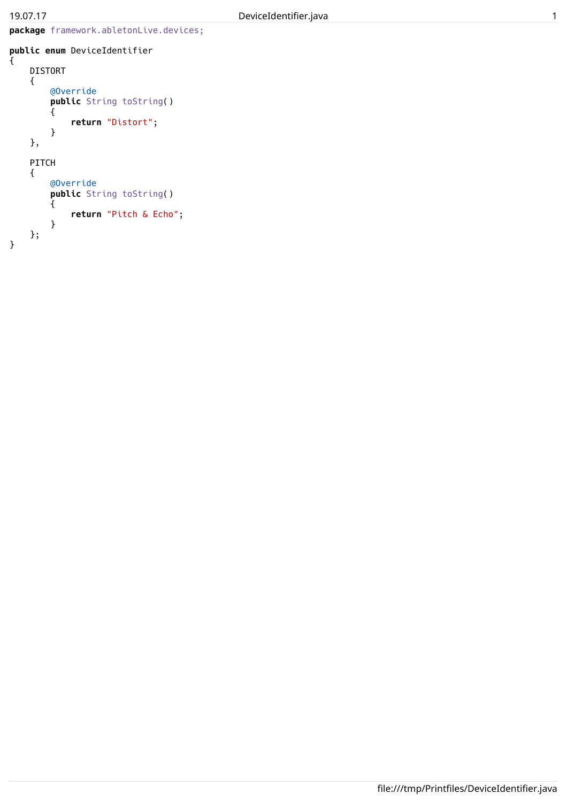```
public enum DeviceIdentifier
{
    DISTORT
    {
        @Override
        public String toString()
        {
            return "Distort";
        }
    },
    PITCH
    {
        @Override
        public String toString()
        {
            return "Pitch & Echo";
        }
    };
}
```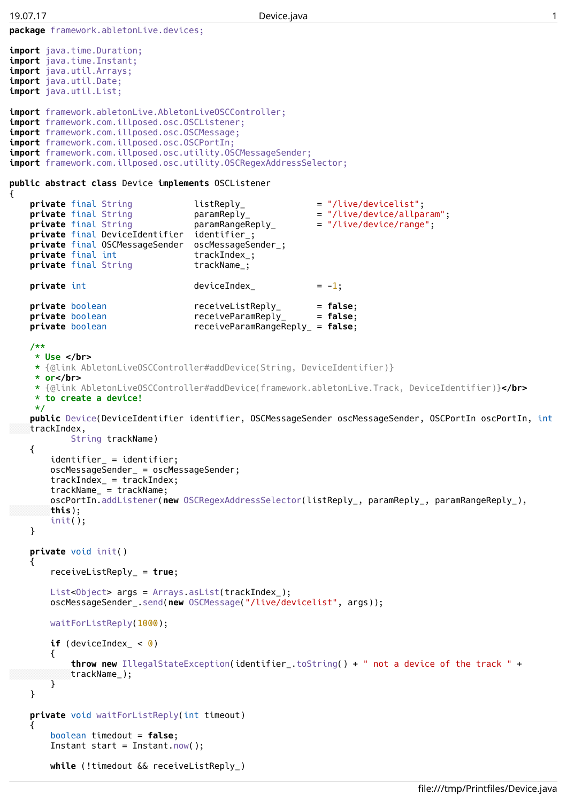```
package framework.abletonLive.devices;
import java.time.Duration;
import java.time.Instant;
import java.util.Arrays;
import java.util.Date;
import java.util.List;
import framework.abletonLive.AbletonLiveOSCController;
import framework.com.illposed.osc.OSCListener;
import framework.com.illposed.osc.OSCMessage;
import framework.com.illposed.osc.OSCPortIn;
import framework.com.illposed.osc.utility.OSCMessageSender;
import framework.com.illposed.osc.utility.OSCRegexAddressSelector;
public abstract class Device implements OSCListener
\mathcal{L}private final String \qquad \qquad listReply_ \qquad \qquad = "/live/devicelist";private final String \begin{array}{lll}\n\text{parameter} & \text{parameter} \\
\text{average} & \text{parameter} \\
\text{average} & \text{parameter}\n\end{array}private final String baramRangeReply = "/live/device/range";
    private final DeviceIdentifier identifier_;
    private final OSCMessageSender oscMessageSender_;
   private final int trackIndex<sub>_;</sub>
   private final String trackName<sub>_</sub>;
   private int deviceIndex = -1;
   private boolean receiveListReply_ = false;
   private boolean receiveParamReply_ = false;
   private boolean receiveParamRangeReply_ = false;
    /**
    * Use </br>
    * {@link AbletonLiveOSCController#addDevice(String, DeviceIdentifier)}
    * or</br>
     * {@link AbletonLiveOSCController#addDevice(framework.abletonLive.Track, DeviceIdentifier)}</br>
     * to create a device!
    */
    public Device(DeviceIdentifier identifier, OSCMessageSender oscMessageSender, OSCPortIn oscPortIn, int
   trackIndex,
           String trackName)
    {
        identifier_ = identifier;
        oscMessageSender_ = oscMessageSender;
        trackIndex_ = trackIndex;
        trackName_ = trackName;
        oscPortIn.addListener(new OSCRegexAddressSelector(listReply_, paramReply_, paramRangeReply_),
       this);
        init();
    }
    private void init()
    {
        receiveListReply_ = true;
        List<Object> args = Arrays.asList(trackIndex_);
        oscMessageSender_.send(new OSCMessage("/live/devicelist", args));
        waitForListReply(1000);
        if (deviceIndex \lt 0)
        \overline{f}throw new IllegalStateException(identifier_.toString() + " not a device of the track " +
           trackName_);
        }
    }
    private void waitForListReply(int timeout)
    {
        boolean timedout = false;
        Instant start = Instant.now();
        while (!timedout && receiveListReply_)
```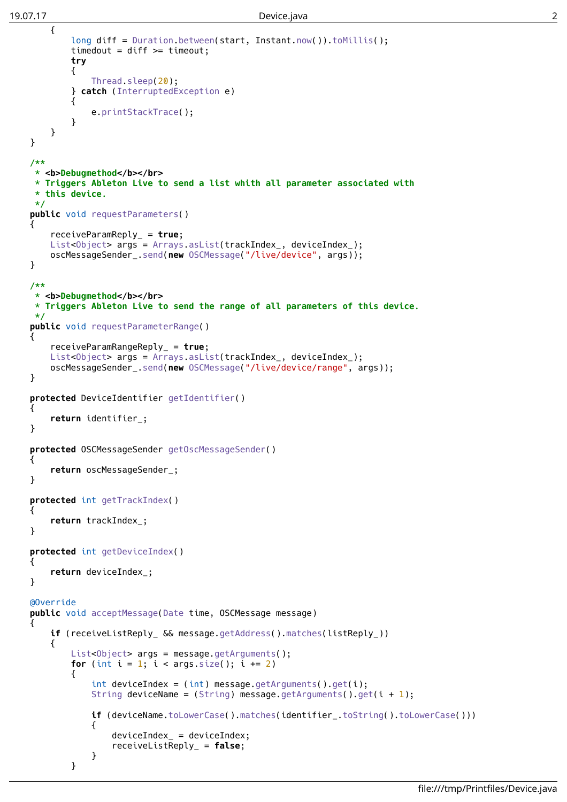```
{
        long diff = Duration.between(start, Instant.now()).toMillis();
        timedout = diff >= timeout;
        try
        {
            Thread.sleep(20);
        } catch (InterruptedException e)
        {
            e.printStackTrace();
        }
    }
}
/**
 * <b>Debugmethod</b></br>
 * Triggers Ableton Live to send a list whith all parameter associated with
 * this device.
 */
public void requestParameters()
\mathfrak{t}receiveParamReply_ = true;
    List<Object> args = Arrays.asList(trackIndex_, deviceIndex_);
    oscMessageSender_.send(new OSCMessage("/live/device", args));
}
/**
 * <b>Debugmethod</b></br>
 * Triggers Ableton Live to send the range of all parameters of this device.
 */
public void requestParameterRange()
{
    receiveParamRangeReply_ = true;
    List<Object> args = Arrays.asList(trackIndex_, deviceIndex_);
    oscMessageSender_.send(new OSCMessage("/live/device/range", args));
}
protected DeviceIdentifier getIdentifier()
{
    return identifier_;
}
protected OSCMessageSender getOscMessageSender()
{
    return oscMessageSender_;
}
protected int getTrackIndex()
{
    return trackIndex_;
}
protected int getDeviceIndex()
{
    return deviceIndex_;
}
@Override
public void acceptMessage(Date time, OSCMessage message)
{
    if (receiveListReply_ && message.getAddress().matches(listReply_))
    {
        List<Object> args = message.getArguments();
        for (int i = 1; i < args.size(); i += 2)
        \mathcal{L}int deviceIndex = (int) message.getArguments().get(i);
            String deviceName = (String) message.getArguments().get(i + 1);
            if (deviceName.toLowerCase().matches(identifier_.toString().toLowerCase()))
            {
                deviceIndex = deviceIndex;
                receiveListReply_ = false;
            }
        }
```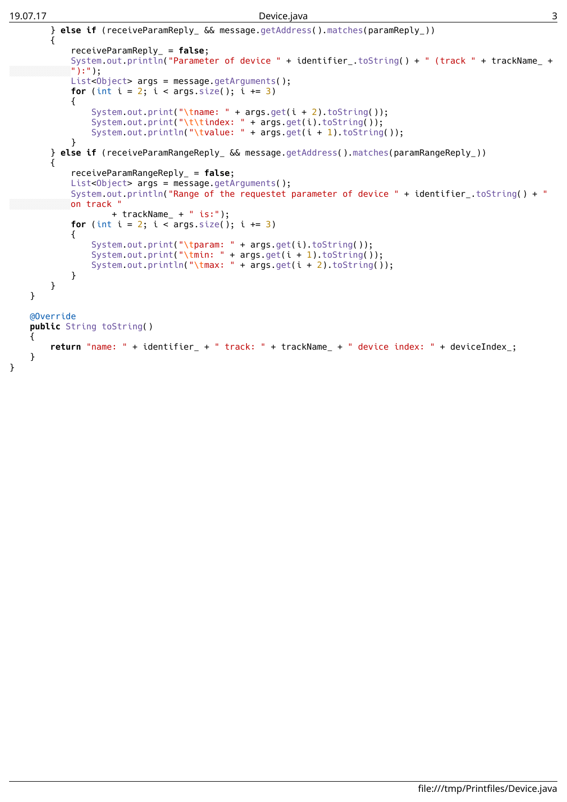## 19.07.17 Device.java 3

```
} else if (receiveParamReply_ && message.getAddress().matches(paramReply_))
        {
            receiveParamReply_ = false;
            System.out.println("Parameter of device " + identifier .toString() + " (track " + trackName +
            \mathbb{I}):");
            List<Object> args = message.getArguments();
            for (int i = 2; i < args.size(); i += 3)
            {
                System.out.print("\tname: " + args.get(i + 2).toString());
                System.out.print("\t\tindex: " + args.get(i).toString(i);System.out.println("\tvalue: " + args.get(i + 1).toString());
            }
        } else if (receiveParamRangeReply_ && message.getAddress().matches(paramRangeReply_))
        {
            receiveParamRangeReply_ = false;
            List<Object> args = message.getArguments();
            System.out.println("Range of the requestet parameter of device " + identifier_.toString() + "
            on track "
                    + trackName_ + " is:");
            for (int i = 2; i < args.size(); i += 3)
            {
                System.out.print("\tparam: " + args.get(i).toString());
                System.out.print("\tmin: " + args.get(i + 1).toString();System.out.println("\tmax: " + args.get(i + 2).toString());
            }
        }
    }
   @Override
    public String toString()
    {
        return "name: " + identifier_ + " track: " + trackName_ + " device index: " + deviceIndex_;
    }
}
```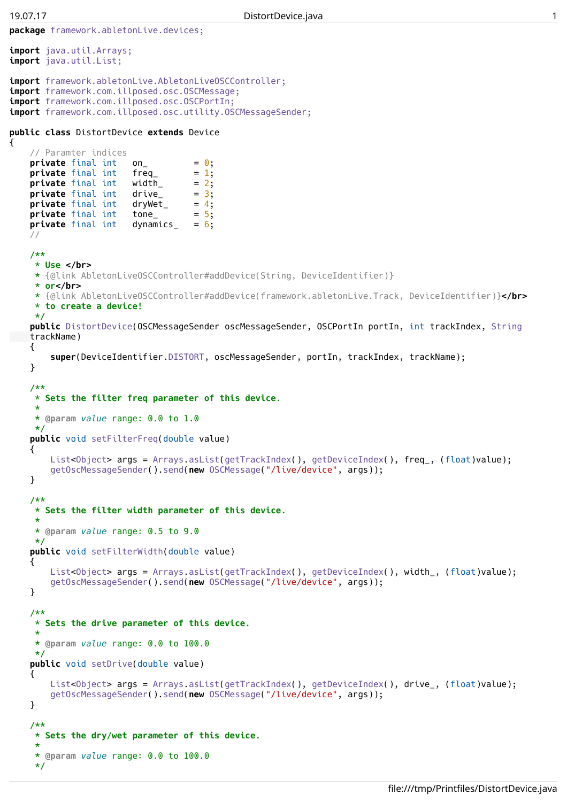```
package framework.abletonLive.devices;
import java.util.Arrays;
import java.util.List;
import framework.abletonLive.AbletonLiveOSCController;
import framework.com.illposed.osc.OSCMessage;
import framework.com.illposed.osc.OSCPortIn;
import framework.com.illposed.osc.utility.OSCMessageSender;
public class DistortDevice extends Device
\mathbf{f}// Paramter indices
   private final int on = 0;
   private final int freq = 1;
   private final int width = 2;
   private final int drive_ = 3;<br>private final int dryWet_ = 4;
   private final int dryWet<sub>_</sub> = 4;<br>private final int tone_ = 5;
   private final int tone_
   private final int dynamics = 6;
    //
    /**
    * Use </br>
    * {@link AbletonLiveOSCController#addDevice(String, DeviceIdentifier)}
    * or</br>
    * {@link AbletonLiveOSCController#addDevice(framework.abletonLive.Track, DeviceIdentifier)}</br>
    * to create a device!
    */
    public DistortDevice(OSCMessageSender oscMessageSender, OSCPortIn portIn, int trackIndex, String
    trackName)
    {
        super(DeviceIdentifier.DISTORT, oscMessageSender, portIn, trackIndex, trackName);
    }
    /**
    * Sets the filter freq parameter of this device.
    *
    * @param value range: 0.0 to 1.0
    */
    public void setFilterFreq(double value)
    {
        List<Object> args = Arrays.asList(getTrackIndex(), getDeviceIndex(), freq_, (float)value);
        getOscMessageSender().send(new OSCMessage("/live/device", args));
    }
    /**
     * Sets the filter width parameter of this device.
    *
    * @param value range: 0.5 to 9.0
    */
    public void setFilterWidth(double value)
    \mathbf{f}List<Object> args = Arrays.asList(getTrackIndex(), getDeviceIndex(), width_, (float)value);
        getOscMessageSender().send(new OSCMessage("/live/device", args));
    }
    /**
    * Sets the drive parameter of this device.
     *
    * @param value range: 0.0 to 100.0
    */
    public void setDrive(double value)
    {
        List<Object> args = Arrays.asList(getTrackIndex(), getDeviceIndex(), drive_, (float)value);
        getOscMessageSender().send(new OSCMessage("/live/device", args));
    }
    /**
    * Sets the dry/wet parameter of this device.
     *
     * @param value range: 0.0 to 100.0
    */
```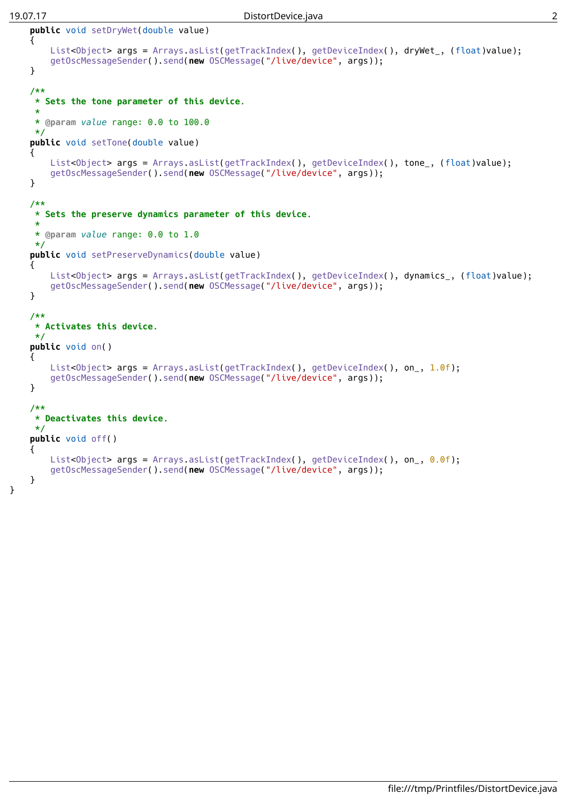}

```
public void setDryWet(double value)
\overline{A}List<Object> args = Arrays.asList(getTrackIndex(), getDeviceIndex(), dryWet_, (float)value);
    getOscMessageSender().send(new OSCMessage("/live/device", args));
}
/**
 * Sets the tone parameter of this device.
 *
 * @param value range: 0.0 to 100.0
 */
public void setTone(double value)
{
    List<Object> args = Arrays.asList(getTrackIndex(), getDeviceIndex(), tone_, (float)value);
    getOscMessageSender().send(new OSCMessage("/live/device", args));
}
/**
 * Sets the preserve dynamics parameter of this device.
 *
 * @param value range: 0.0 to 1.0
 */
public void setPreserveDynamics(double value)
{
    List<Object> args = Arrays.asList(getTrackIndex(), getDeviceIndex(), dynamics_, (float)value);
    getOscMessageSender().send(new OSCMessage("/live/device", args));
}
/**
 * Activates this device.
 */
public void on()
{
    List<Object> args = Arrays.asList(getTrackIndex(), getDeviceIndex(), on_, 1.0f);
    getOscMessageSender().send(new OSCMessage("/live/device", args));
}
/**
 * Deactivates this device.
 */
public void off()
{
    List<Object> args = Arrays.asList(getTrackIndex(), getDeviceIndex(), on_, 0.0f);
    getOscMessageSender().send(new OSCMessage("/live/device", args));
}
```